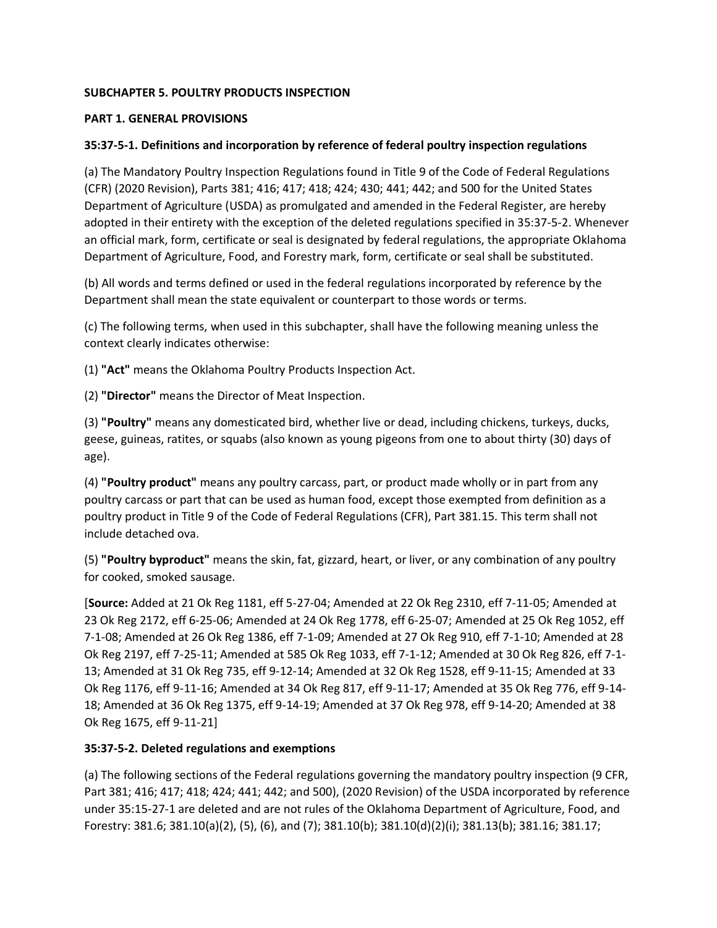### **SUBCHAPTER 5. POULTRY PRODUCTS INSPECTION**

#### **PART 1. GENERAL PROVISIONS**

### **35:37-5-1. Definitions and incorporation by reference of federal poultry inspection regulations**

(a) The Mandatory Poultry Inspection Regulations found in Title 9 of the Code of Federal Regulations (CFR) (2020 Revision), Parts 381; 416; 417; 418; 424; 430; 441; 442; and 500 for the United States Department of Agriculture (USDA) as promulgated and amended in the Federal Register, are hereby adopted in their entirety with the exception of the deleted regulations specified in 35:37-5-2. Whenever an official mark, form, certificate or seal is designated by federal regulations, the appropriate Oklahoma Department of Agriculture, Food, and Forestry mark, form, certificate or seal shall be substituted.

(b) All words and terms defined or used in the federal regulations incorporated by reference by the Department shall mean the state equivalent or counterpart to those words or terms.

(c) The following terms, when used in this subchapter, shall have the following meaning unless the context clearly indicates otherwise:

(1) **"Act"** means the Oklahoma Poultry Products Inspection Act.

(2) **"Director"** means the Director of Meat Inspection.

(3) **"Poultry"** means any domesticated bird, whether live or dead, including chickens, turkeys, ducks, geese, guineas, ratites, or squabs (also known as young pigeons from one to about thirty (30) days of age).

(4) **"Poultry product"** means any poultry carcass, part, or product made wholly or in part from any poultry carcass or part that can be used as human food, except those exempted from definition as a poultry product in Title 9 of the Code of Federal Regulations (CFR), Part 381.15. This term shall not include detached ova.

(5) **"Poultry byproduct"** means the skin, fat, gizzard, heart, or liver, or any combination of any poultry for cooked, smoked sausage.

[**Source:** Added at 21 Ok Reg 1181, eff 5-27-04; Amended at 22 Ok Reg 2310, eff 7-11-05; Amended at 23 Ok Reg 2172, eff 6-25-06; Amended at 24 Ok Reg 1778, eff 6-25-07; Amended at 25 Ok Reg 1052, eff 7-1-08; Amended at 26 Ok Reg 1386, eff 7-1-09; Amended at 27 Ok Reg 910, eff 7-1-10; Amended at 28 Ok Reg 2197, eff 7-25-11; Amended at 585 Ok Reg 1033, eff 7-1-12; Amended at 30 Ok Reg 826, eff 7-1- 13; Amended at 31 Ok Reg 735, eff 9-12-14; Amended at 32 Ok Reg 1528, eff 9-11-15; Amended at 33 Ok Reg 1176, eff 9-11-16; Amended at 34 Ok Reg 817, eff 9-11-17; Amended at 35 Ok Reg 776, eff 9-14- 18; Amended at 36 Ok Reg 1375, eff 9-14-19; Amended at 37 Ok Reg 978, eff 9-14-20; Amended at 38 Ok Reg 1675, eff 9-11-21]

#### **35:37-5-2. Deleted regulations and exemptions**

(a) The following sections of the Federal regulations governing the mandatory poultry inspection (9 CFR, Part 381; 416; 417; 418; 424; 441; 442; and 500), (2020 Revision) of the USDA incorporated by reference under 35:15-27-1 are deleted and are not rules of the Oklahoma Department of Agriculture, Food, and Forestry: 381.6; 381.10(a)(2), (5), (6), and (7); 381.10(b); 381.10(d)(2)(i); 381.13(b); 381.16; 381.17;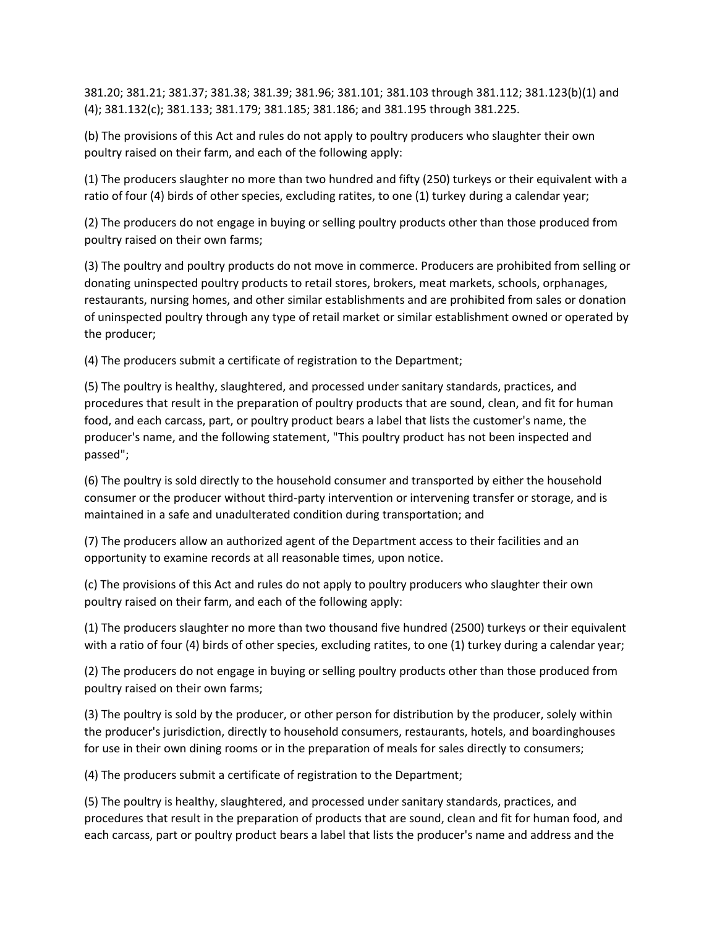381.20; 381.21; 381.37; 381.38; 381.39; 381.96; 381.101; 381.103 through 381.112; 381.123(b)(1) and (4); 381.132(c); 381.133; 381.179; 381.185; 381.186; and 381.195 through 381.225.

(b) The provisions of this Act and rules do not apply to poultry producers who slaughter their own poultry raised on their farm, and each of the following apply:

(1) The producers slaughter no more than two hundred and fifty (250) turkeys or their equivalent with a ratio of four (4) birds of other species, excluding ratites, to one (1) turkey during a calendar year;

(2) The producers do not engage in buying or selling poultry products other than those produced from poultry raised on their own farms;

(3) The poultry and poultry products do not move in commerce. Producers are prohibited from selling or donating uninspected poultry products to retail stores, brokers, meat markets, schools, orphanages, restaurants, nursing homes, and other similar establishments and are prohibited from sales or donation of uninspected poultry through any type of retail market or similar establishment owned or operated by the producer;

(4) The producers submit a certificate of registration to the Department;

(5) The poultry is healthy, slaughtered, and processed under sanitary standards, practices, and procedures that result in the preparation of poultry products that are sound, clean, and fit for human food, and each carcass, part, or poultry product bears a label that lists the customer's name, the producer's name, and the following statement, "This poultry product has not been inspected and passed";

(6) The poultry is sold directly to the household consumer and transported by either the household consumer or the producer without third-party intervention or intervening transfer or storage, and is maintained in a safe and unadulterated condition during transportation; and

(7) The producers allow an authorized agent of the Department access to their facilities and an opportunity to examine records at all reasonable times, upon notice.

(c) The provisions of this Act and rules do not apply to poultry producers who slaughter their own poultry raised on their farm, and each of the following apply:

(1) The producers slaughter no more than two thousand five hundred (2500) turkeys or their equivalent with a ratio of four (4) birds of other species, excluding ratites, to one (1) turkey during a calendar year;

(2) The producers do not engage in buying or selling poultry products other than those produced from poultry raised on their own farms;

(3) The poultry is sold by the producer, or other person for distribution by the producer, solely within the producer's jurisdiction, directly to household consumers, restaurants, hotels, and boardinghouses for use in their own dining rooms or in the preparation of meals for sales directly to consumers;

(4) The producers submit a certificate of registration to the Department;

(5) The poultry is healthy, slaughtered, and processed under sanitary standards, practices, and procedures that result in the preparation of products that are sound, clean and fit for human food, and each carcass, part or poultry product bears a label that lists the producer's name and address and the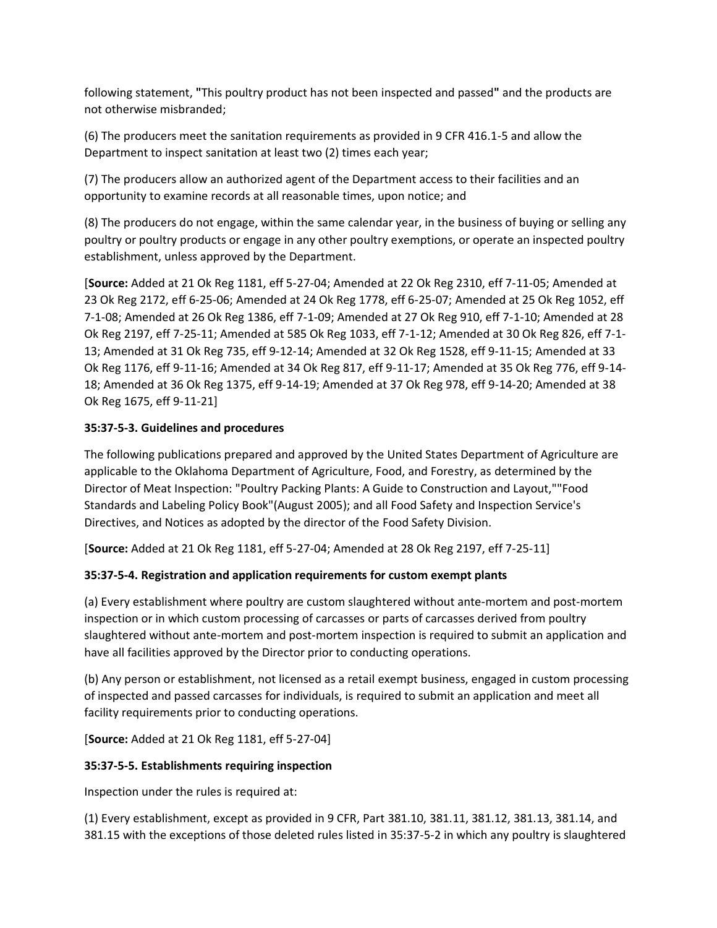following statement, **"**This poultry product has not been inspected and passed**"** and the products are not otherwise misbranded;

(6) The producers meet the sanitation requirements as provided in 9 CFR 416.1-5 and allow the Department to inspect sanitation at least two (2) times each year;

(7) The producers allow an authorized agent of the Department access to their facilities and an opportunity to examine records at all reasonable times, upon notice; and

(8) The producers do not engage, within the same calendar year, in the business of buying or selling any poultry or poultry products or engage in any other poultry exemptions, or operate an inspected poultry establishment, unless approved by the Department.

[**Source:** Added at 21 Ok Reg 1181, eff 5-27-04; Amended at 22 Ok Reg 2310, eff 7-11-05; Amended at 23 Ok Reg 2172, eff 6-25-06; Amended at 24 Ok Reg 1778, eff 6-25-07; Amended at 25 Ok Reg 1052, eff 7-1-08; Amended at 26 Ok Reg 1386, eff 7-1-09; Amended at 27 Ok Reg 910, eff 7-1-10; Amended at 28 Ok Reg 2197, eff 7-25-11; Amended at 585 Ok Reg 1033, eff 7-1-12; Amended at 30 Ok Reg 826, eff 7-1- 13; Amended at 31 Ok Reg 735, eff 9-12-14; Amended at 32 Ok Reg 1528, eff 9-11-15; Amended at 33 Ok Reg 1176, eff 9-11-16; Amended at 34 Ok Reg 817, eff 9-11-17; Amended at 35 Ok Reg 776, eff 9-14- 18; Amended at 36 Ok Reg 1375, eff 9-14-19; Amended at 37 Ok Reg 978, eff 9-14-20; Amended at 38 Ok Reg 1675, eff 9-11-21]

# **35:37-5-3. Guidelines and procedures**

The following publications prepared and approved by the United States Department of Agriculture are applicable to the Oklahoma Department of Agriculture, Food, and Forestry, as determined by the Director of Meat Inspection: "Poultry Packing Plants: A Guide to Construction and Layout,""Food Standards and Labeling Policy Book"(August 2005); and all Food Safety and Inspection Service's Directives, and Notices as adopted by the director of the Food Safety Division.

[**Source:** Added at 21 Ok Reg 1181, eff 5-27-04; Amended at 28 Ok Reg 2197, eff 7-25-11]

# **35:37-5-4. Registration and application requirements for custom exempt plants**

(a) Every establishment where poultry are custom slaughtered without ante-mortem and post-mortem inspection or in which custom processing of carcasses or parts of carcasses derived from poultry slaughtered without ante-mortem and post-mortem inspection is required to submit an application and have all facilities approved by the Director prior to conducting operations.

(b) Any person or establishment, not licensed as a retail exempt business, engaged in custom processing of inspected and passed carcasses for individuals, is required to submit an application and meet all facility requirements prior to conducting operations.

[**Source:** Added at 21 Ok Reg 1181, eff 5-27-04]

#### **35:37-5-5. Establishments requiring inspection**

Inspection under the rules is required at:

(1) Every establishment, except as provided in 9 CFR, Part 381.10, 381.11, 381.12, 381.13, 381.14, and 381.15 with the exceptions of those deleted rules listed in 35:37-5-2 in which any poultry is slaughtered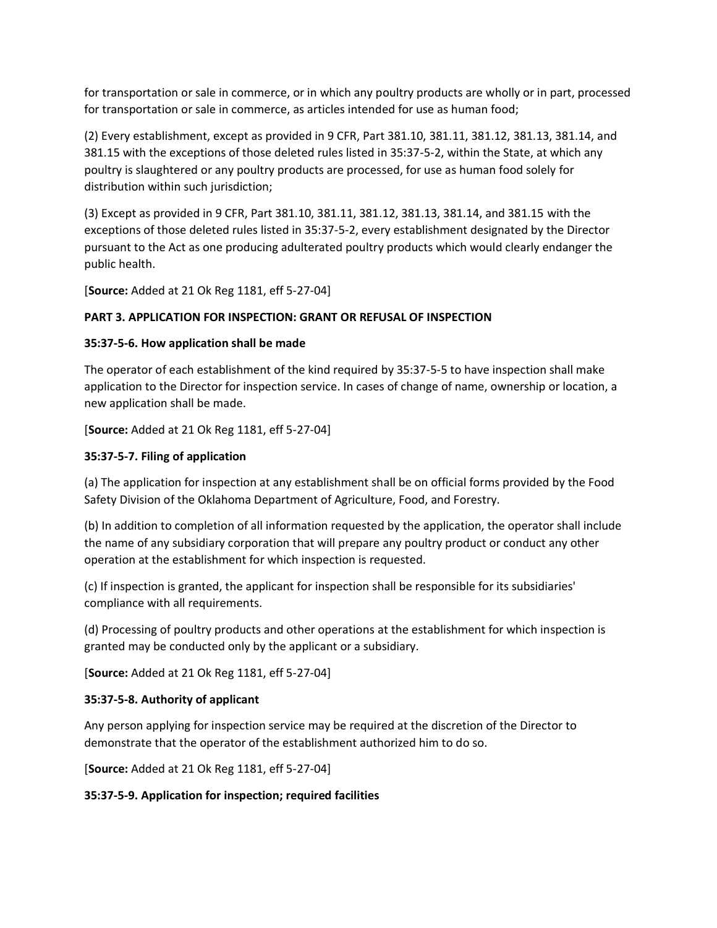for transportation or sale in commerce, or in which any poultry products are wholly or in part, processed for transportation or sale in commerce, as articles intended for use as human food;

(2) Every establishment, except as provided in 9 CFR, Part 381.10, 381.11, 381.12, 381.13, 381.14, and 381.15 with the exceptions of those deleted rules listed in 35:37-5-2, within the State, at which any poultry is slaughtered or any poultry products are processed, for use as human food solely for distribution within such jurisdiction;

(3) Except as provided in 9 CFR, Part 381.10, 381.11, 381.12, 381.13, 381.14, and 381.15 with the exceptions of those deleted rules listed in 35:37-5-2, every establishment designated by the Director pursuant to the Act as one producing adulterated poultry products which would clearly endanger the public health.

[**Source:** Added at 21 Ok Reg 1181, eff 5-27-04]

### **PART 3. APPLICATION FOR INSPECTION: GRANT OR REFUSAL OF INSPECTION**

#### **35:37-5-6. How application shall be made**

The operator of each establishment of the kind required by 35:37-5-5 to have inspection shall make application to the Director for inspection service. In cases of change of name, ownership or location, a new application shall be made.

[**Source:** Added at 21 Ok Reg 1181, eff 5-27-04]

### **35:37-5-7. Filing of application**

(a) The application for inspection at any establishment shall be on official forms provided by the Food Safety Division of the Oklahoma Department of Agriculture, Food, and Forestry.

(b) In addition to completion of all information requested by the application, the operator shall include the name of any subsidiary corporation that will prepare any poultry product or conduct any other operation at the establishment for which inspection is requested.

(c) If inspection is granted, the applicant for inspection shall be responsible for its subsidiaries' compliance with all requirements.

(d) Processing of poultry products and other operations at the establishment for which inspection is granted may be conducted only by the applicant or a subsidiary.

[**Source:** Added at 21 Ok Reg 1181, eff 5-27-04]

#### **35:37-5-8. Authority of applicant**

Any person applying for inspection service may be required at the discretion of the Director to demonstrate that the operator of the establishment authorized him to do so.

[**Source:** Added at 21 Ok Reg 1181, eff 5-27-04]

#### **35:37-5-9. Application for inspection; required facilities**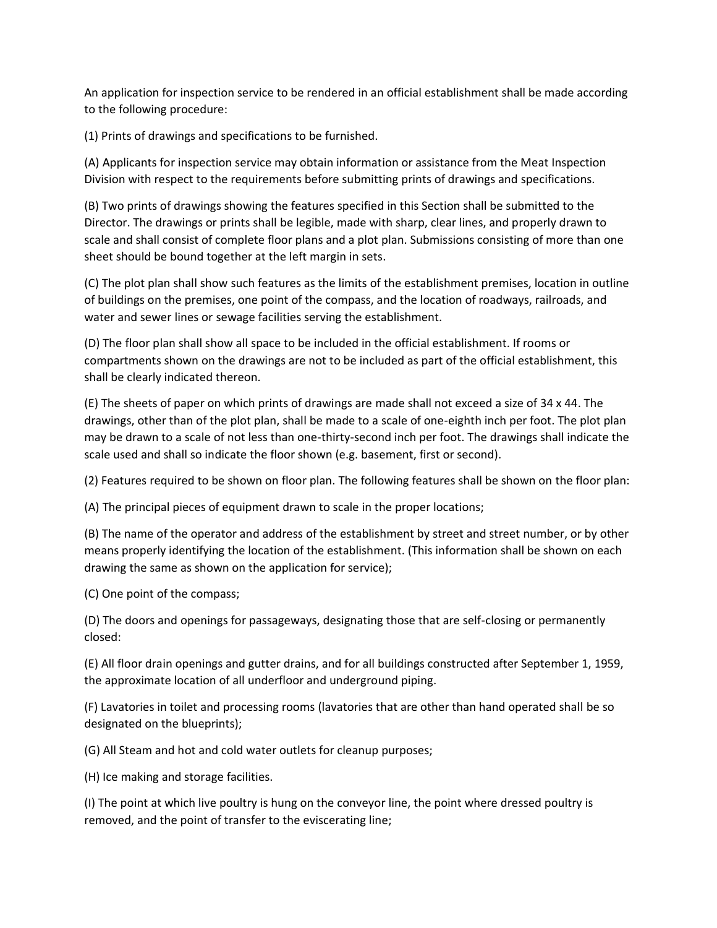An application for inspection service to be rendered in an official establishment shall be made according to the following procedure:

(1) Prints of drawings and specifications to be furnished.

(A) Applicants for inspection service may obtain information or assistance from the Meat Inspection Division with respect to the requirements before submitting prints of drawings and specifications.

(B) Two prints of drawings showing the features specified in this Section shall be submitted to the Director. The drawings or prints shall be legible, made with sharp, clear lines, and properly drawn to scale and shall consist of complete floor plans and a plot plan. Submissions consisting of more than one sheet should be bound together at the left margin in sets.

(C) The plot plan shall show such features as the limits of the establishment premises, location in outline of buildings on the premises, one point of the compass, and the location of roadways, railroads, and water and sewer lines or sewage facilities serving the establishment.

(D) The floor plan shall show all space to be included in the official establishment. If rooms or compartments shown on the drawings are not to be included as part of the official establishment, this shall be clearly indicated thereon.

(E) The sheets of paper on which prints of drawings are made shall not exceed a size of 34 x 44. The drawings, other than of the plot plan, shall be made to a scale of one-eighth inch per foot. The plot plan may be drawn to a scale of not less than one-thirty-second inch per foot. The drawings shall indicate the scale used and shall so indicate the floor shown (e.g. basement, first or second).

(2) Features required to be shown on floor plan. The following features shall be shown on the floor plan:

(A) The principal pieces of equipment drawn to scale in the proper locations;

(B) The name of the operator and address of the establishment by street and street number, or by other means properly identifying the location of the establishment. (This information shall be shown on each drawing the same as shown on the application for service);

(C) One point of the compass;

(D) The doors and openings for passageways, designating those that are self-closing or permanently closed:

(E) All floor drain openings and gutter drains, and for all buildings constructed after September 1, 1959, the approximate location of all underfloor and underground piping.

(F) Lavatories in toilet and processing rooms (lavatories that are other than hand operated shall be so designated on the blueprints);

(G) All Steam and hot and cold water outlets for cleanup purposes;

(H) Ice making and storage facilities.

(I) The point at which live poultry is hung on the conveyor line, the point where dressed poultry is removed, and the point of transfer to the eviscerating line;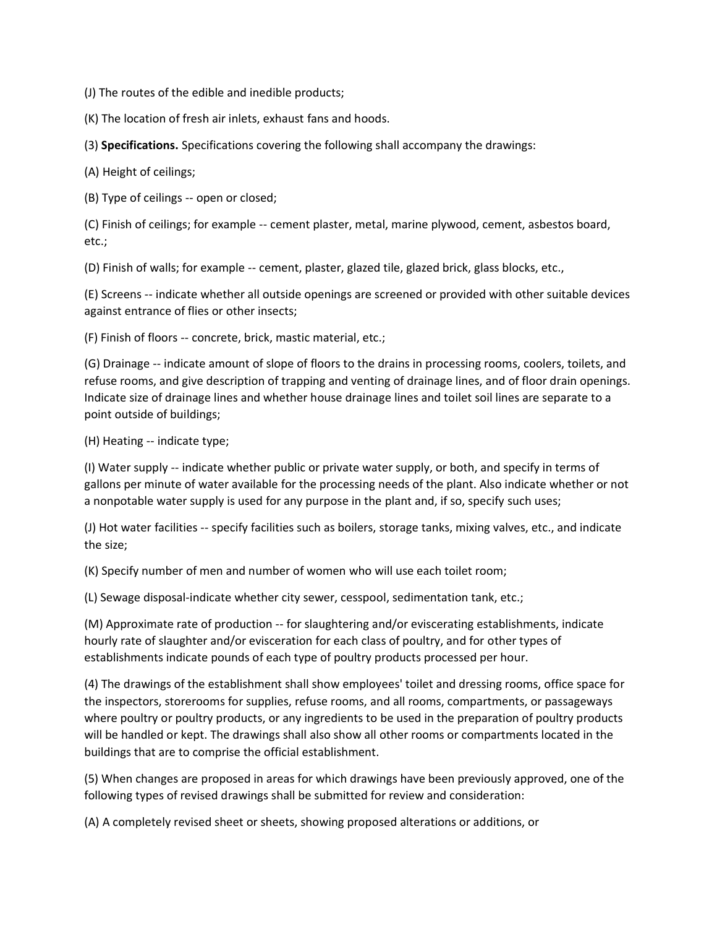(J) The routes of the edible and inedible products;

(K) The location of fresh air inlets, exhaust fans and hoods.

(3) **Specifications.** Specifications covering the following shall accompany the drawings:

(A) Height of ceilings;

(B) Type of ceilings -- open or closed;

(C) Finish of ceilings; for example -- cement plaster, metal, marine plywood, cement, asbestos board, etc.;

(D) Finish of walls; for example -- cement, plaster, glazed tile, glazed brick, glass blocks, etc.,

(E) Screens -- indicate whether all outside openings are screened or provided with other suitable devices against entrance of flies or other insects;

(F) Finish of floors -- concrete, brick, mastic material, etc.;

(G) Drainage -- indicate amount of slope of floors to the drains in processing rooms, coolers, toilets, and refuse rooms, and give description of trapping and venting of drainage lines, and of floor drain openings. Indicate size of drainage lines and whether house drainage lines and toilet soil lines are separate to a point outside of buildings;

(H) Heating -- indicate type;

(I) Water supply -- indicate whether public or private water supply, or both, and specify in terms of gallons per minute of water available for the processing needs of the plant. Also indicate whether or not a nonpotable water supply is used for any purpose in the plant and, if so, specify such uses;

(J) Hot water facilities -- specify facilities such as boilers, storage tanks, mixing valves, etc., and indicate the size;

(K) Specify number of men and number of women who will use each toilet room;

(L) Sewage disposal-indicate whether city sewer, cesspool, sedimentation tank, etc.;

(M) Approximate rate of production -- for slaughtering and/or eviscerating establishments, indicate hourly rate of slaughter and/or evisceration for each class of poultry, and for other types of establishments indicate pounds of each type of poultry products processed per hour.

(4) The drawings of the establishment shall show employees' toilet and dressing rooms, office space for the inspectors, storerooms for supplies, refuse rooms, and all rooms, compartments, or passageways where poultry or poultry products, or any ingredients to be used in the preparation of poultry products will be handled or kept. The drawings shall also show all other rooms or compartments located in the buildings that are to comprise the official establishment.

(5) When changes are proposed in areas for which drawings have been previously approved, one of the following types of revised drawings shall be submitted for review and consideration:

(A) A completely revised sheet or sheets, showing proposed alterations or additions, or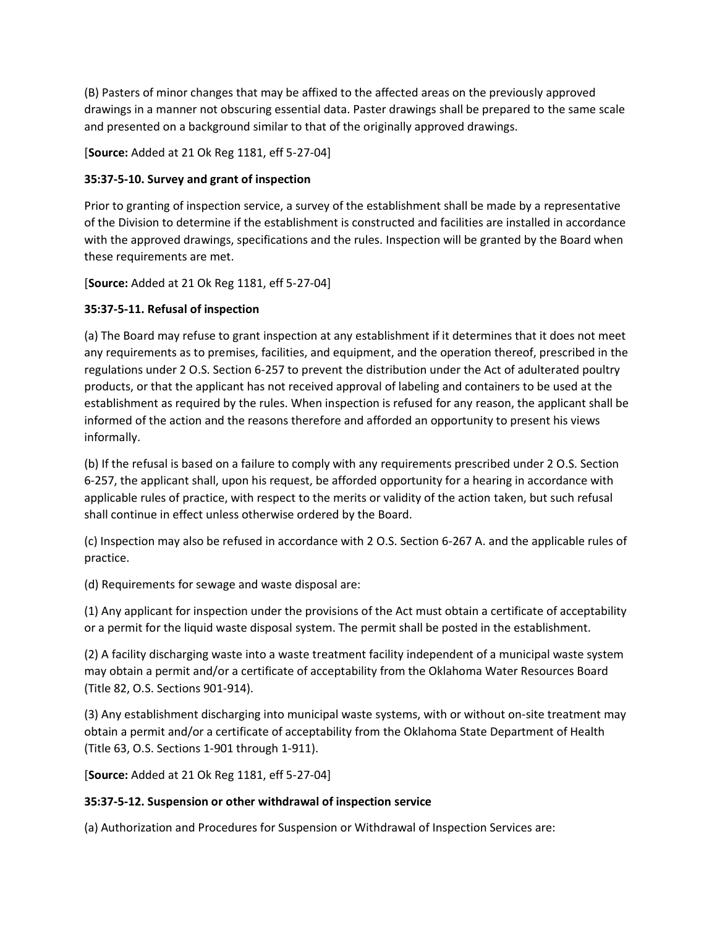(B) Pasters of minor changes that may be affixed to the affected areas on the previously approved drawings in a manner not obscuring essential data. Paster drawings shall be prepared to the same scale and presented on a background similar to that of the originally approved drawings.

[**Source:** Added at 21 Ok Reg 1181, eff 5-27-04]

# **35:37-5-10. Survey and grant of inspection**

Prior to granting of inspection service, a survey of the establishment shall be made by a representative of the Division to determine if the establishment is constructed and facilities are installed in accordance with the approved drawings, specifications and the rules. Inspection will be granted by the Board when these requirements are met.

[**Source:** Added at 21 Ok Reg 1181, eff 5-27-04]

# **35:37-5-11. Refusal of inspection**

(a) The Board may refuse to grant inspection at any establishment if it determines that it does not meet any requirements as to premises, facilities, and equipment, and the operation thereof, prescribed in the regulations under 2 O.S. Section 6-257 to prevent the distribution under the Act of adulterated poultry products, or that the applicant has not received approval of labeling and containers to be used at the establishment as required by the rules. When inspection is refused for any reason, the applicant shall be informed of the action and the reasons therefore and afforded an opportunity to present his views informally.

(b) If the refusal is based on a failure to comply with any requirements prescribed under 2 O.S. Section 6-257, the applicant shall, upon his request, be afforded opportunity for a hearing in accordance with applicable rules of practice, with respect to the merits or validity of the action taken, but such refusal shall continue in effect unless otherwise ordered by the Board.

(c) Inspection may also be refused in accordance with 2 O.S. Section 6-267 A. and the applicable rules of practice.

(d) Requirements for sewage and waste disposal are:

(1) Any applicant for inspection under the provisions of the Act must obtain a certificate of acceptability or a permit for the liquid waste disposal system. The permit shall be posted in the establishment.

(2) A facility discharging waste into a waste treatment facility independent of a municipal waste system may obtain a permit and/or a certificate of acceptability from the Oklahoma Water Resources Board (Title 82, O.S. Sections 901-914).

(3) Any establishment discharging into municipal waste systems, with or without on-site treatment may obtain a permit and/or a certificate of acceptability from the Oklahoma State Department of Health (Title 63, O.S. Sections 1-901 through 1-911).

[**Source:** Added at 21 Ok Reg 1181, eff 5-27-04]

# **35:37-5-12. Suspension or other withdrawal of inspection service**

(a) Authorization and Procedures for Suspension or Withdrawal of Inspection Services are: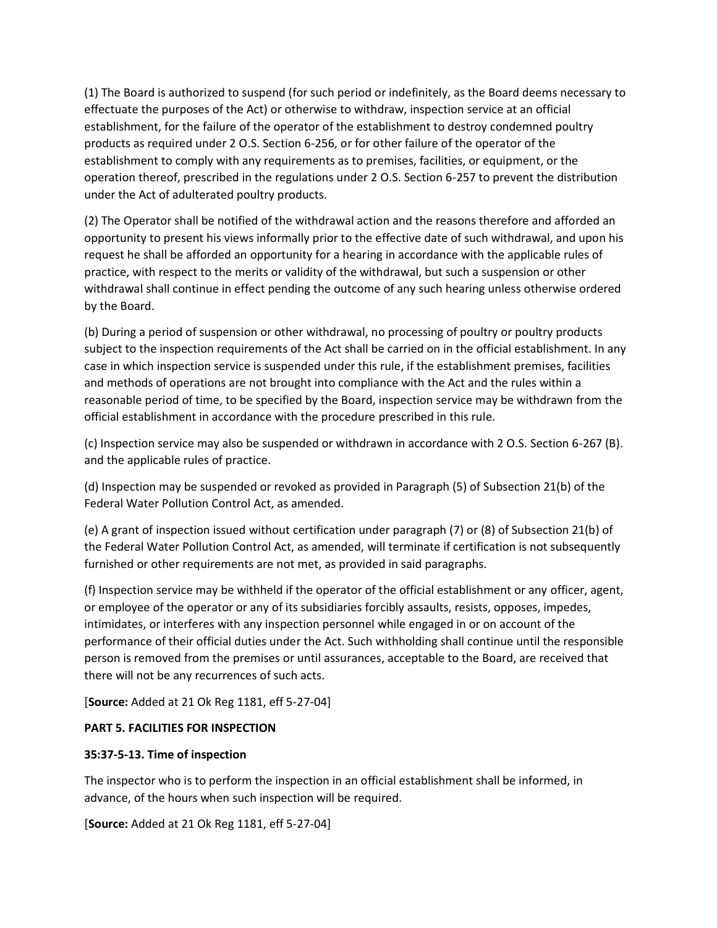(1) The Board is authorized to suspend (for such period or indefinitely, as the Board deems necessary to effectuate the purposes of the Act) or otherwise to withdraw, inspection service at an official establishment, for the failure of the operator of the establishment to destroy condemned poultry products as required under 2 O.S. Section 6-256, or for other failure of the operator of the establishment to comply with any requirements as to premises, facilities, or equipment, or the operation thereof, prescribed in the regulations under 2 O.S. Section 6-257 to prevent the distribution under the Act of adulterated poultry products.

(2) The Operator shall be notified of the withdrawal action and the reasons therefore and afforded an opportunity to present his views informally prior to the effective date of such withdrawal, and upon his request he shall be afforded an opportunity for a hearing in accordance with the applicable rules of practice, with respect to the merits or validity of the withdrawal, but such a suspension or other withdrawal shall continue in effect pending the outcome of any such hearing unless otherwise ordered by the Board.

(b) During a period of suspension or other withdrawal, no processing of poultry or poultry products subject to the inspection requirements of the Act shall be carried on in the official establishment. In any case in which inspection service is suspended under this rule, if the establishment premises, facilities and methods of operations are not brought into compliance with the Act and the rules within a reasonable period of time, to be specified by the Board, inspection service may be withdrawn from the official establishment in accordance with the procedure prescribed in this rule.

(c) Inspection service may also be suspended or withdrawn in accordance with 2 O.S. Section 6-267 (B). and the applicable rules of practice.

(d) Inspection may be suspended or revoked as provided in Paragraph (5) of Subsection 21(b) of the Federal Water Pollution Control Act, as amended.

(e) A grant of inspection issued without certification under paragraph (7) or (8) of Subsection 21(b) of the Federal Water Pollution Control Act, as amended, will terminate if certification is not subsequently furnished or other requirements are not met, as provided in said paragraphs.

(f) Inspection service may be withheld if the operator of the official establishment or any officer, agent, or employee of the operator or any of its subsidiaries forcibly assaults, resists, opposes, impedes, intimidates, or interferes with any inspection personnel while engaged in or on account of the performance of their official duties under the Act. Such withholding shall continue until the responsible person is removed from the premises or until assurances, acceptable to the Board, are received that there will not be any recurrences of such acts.

[**Source:** Added at 21 Ok Reg 1181, eff 5-27-04]

#### **PART 5. FACILITIES FOR INSPECTION**

# **35:37-5-13. Time of inspection**

The inspector who is to perform the inspection in an official establishment shall be informed, in advance, of the hours when such inspection will be required.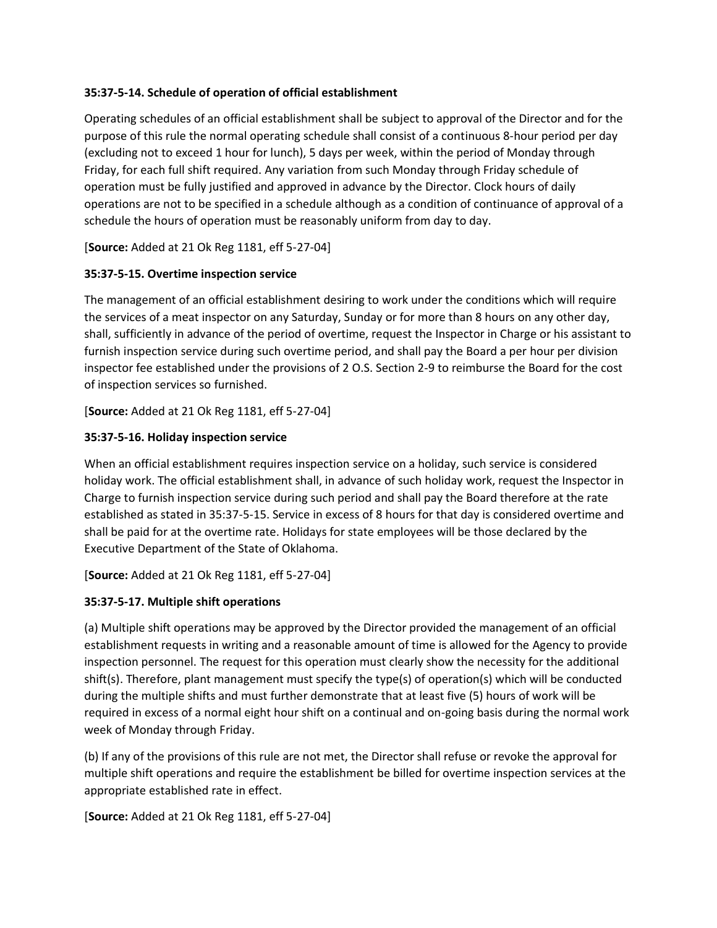### **35:37-5-14. Schedule of operation of official establishment**

Operating schedules of an official establishment shall be subject to approval of the Director and for the purpose of this rule the normal operating schedule shall consist of a continuous 8-hour period per day (excluding not to exceed 1 hour for lunch), 5 days per week, within the period of Monday through Friday, for each full shift required. Any variation from such Monday through Friday schedule of operation must be fully justified and approved in advance by the Director. Clock hours of daily operations are not to be specified in a schedule although as a condition of continuance of approval of a schedule the hours of operation must be reasonably uniform from day to day.

[**Source:** Added at 21 Ok Reg 1181, eff 5-27-04]

### **35:37-5-15. Overtime inspection service**

The management of an official establishment desiring to work under the conditions which will require the services of a meat inspector on any Saturday, Sunday or for more than 8 hours on any other day, shall, sufficiently in advance of the period of overtime, request the Inspector in Charge or his assistant to furnish inspection service during such overtime period, and shall pay the Board a per hour per division inspector fee established under the provisions of 2 O.S. Section 2-9 to reimburse the Board for the cost of inspection services so furnished.

[**Source:** Added at 21 Ok Reg 1181, eff 5-27-04]

### **35:37-5-16. Holiday inspection service**

When an official establishment requires inspection service on a holiday, such service is considered holiday work. The official establishment shall, in advance of such holiday work, request the Inspector in Charge to furnish inspection service during such period and shall pay the Board therefore at the rate established as stated in 35:37-5-15. Service in excess of 8 hours for that day is considered overtime and shall be paid for at the overtime rate. Holidays for state employees will be those declared by the Executive Department of the State of Oklahoma.

[**Source:** Added at 21 Ok Reg 1181, eff 5-27-04]

# **35:37-5-17. Multiple shift operations**

(a) Multiple shift operations may be approved by the Director provided the management of an official establishment requests in writing and a reasonable amount of time is allowed for the Agency to provide inspection personnel. The request for this operation must clearly show the necessity for the additional shift(s). Therefore, plant management must specify the type(s) of operation(s) which will be conducted during the multiple shifts and must further demonstrate that at least five (5) hours of work will be required in excess of a normal eight hour shift on a continual and on-going basis during the normal work week of Monday through Friday.

(b) If any of the provisions of this rule are not met, the Director shall refuse or revoke the approval for multiple shift operations and require the establishment be billed for overtime inspection services at the appropriate established rate in effect.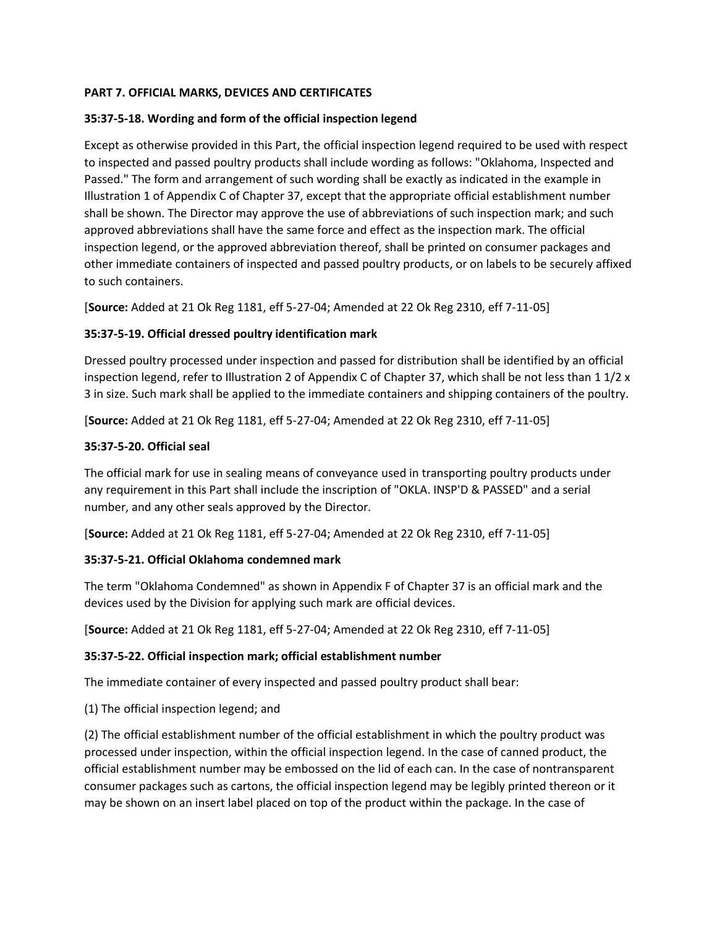# **PART 7. OFFICIAL MARKS, DEVICES AND CERTIFICATES**

### **35:37-5-18. Wording and form of the official inspection legend**

Except as otherwise provided in this Part, the official inspection legend required to be used with respect to inspected and passed poultry products shall include wording as follows: "Oklahoma, Inspected and Passed." The form and arrangement of such wording shall be exactly as indicated in the example in Illustration 1 of Appendix C of Chapter 37, except that the appropriate official establishment number shall be shown. The Director may approve the use of abbreviations of such inspection mark; and such approved abbreviations shall have the same force and effect as the inspection mark. The official inspection legend, or the approved abbreviation thereof, shall be printed on consumer packages and other immediate containers of inspected and passed poultry products, or on labels to be securely affixed to such containers.

[**Source:** Added at 21 Ok Reg 1181, eff 5-27-04; Amended at 22 Ok Reg 2310, eff 7-11-05]

### **35:37-5-19. Official dressed poultry identification mark**

Dressed poultry processed under inspection and passed for distribution shall be identified by an official inspection legend, refer to Illustration 2 of Appendix C of Chapter 37, which shall be not less than 1 1/2 x 3 in size. Such mark shall be applied to the immediate containers and shipping containers of the poultry.

[**Source:** Added at 21 Ok Reg 1181, eff 5-27-04; Amended at 22 Ok Reg 2310, eff 7-11-05]

### **35:37-5-20. Official seal**

The official mark for use in sealing means of conveyance used in transporting poultry products under any requirement in this Part shall include the inscription of "OKLA. INSP'D & PASSED" and a serial number, and any other seals approved by the Director.

[**Source:** Added at 21 Ok Reg 1181, eff 5-27-04; Amended at 22 Ok Reg 2310, eff 7-11-05]

# **35:37-5-21. Official Oklahoma condemned mark**

The term "Oklahoma Condemned" as shown in Appendix F of Chapter 37 is an official mark and the devices used by the Division for applying such mark are official devices.

[**Source:** Added at 21 Ok Reg 1181, eff 5-27-04; Amended at 22 Ok Reg 2310, eff 7-11-05]

#### **35:37-5-22. Official inspection mark; official establishment number**

The immediate container of every inspected and passed poultry product shall bear:

(1) The official inspection legend; and

(2) The official establishment number of the official establishment in which the poultry product was processed under inspection, within the official inspection legend. In the case of canned product, the official establishment number may be embossed on the lid of each can. In the case of nontransparent consumer packages such as cartons, the official inspection legend may be legibly printed thereon or it may be shown on an insert label placed on top of the product within the package. In the case of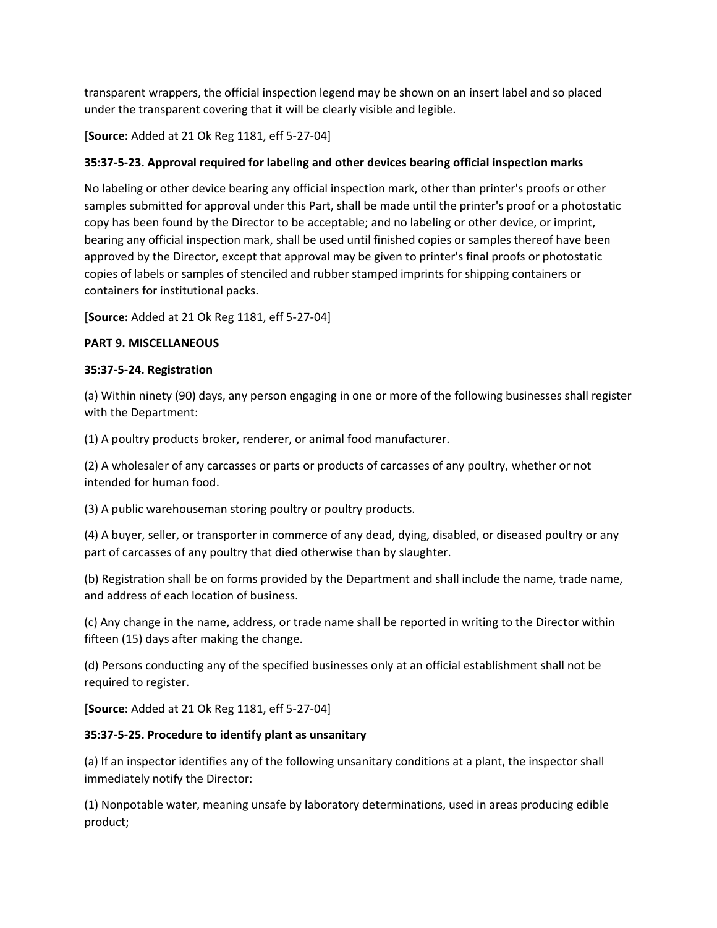transparent wrappers, the official inspection legend may be shown on an insert label and so placed under the transparent covering that it will be clearly visible and legible.

[**Source:** Added at 21 Ok Reg 1181, eff 5-27-04]

# **35:37-5-23. Approval required for labeling and other devices bearing official inspection marks**

No labeling or other device bearing any official inspection mark, other than printer's proofs or other samples submitted for approval under this Part, shall be made until the printer's proof or a photostatic copy has been found by the Director to be acceptable; and no labeling or other device, or imprint, bearing any official inspection mark, shall be used until finished copies or samples thereof have been approved by the Director, except that approval may be given to printer's final proofs or photostatic copies of labels or samples of stenciled and rubber stamped imprints for shipping containers or containers for institutional packs.

[**Source:** Added at 21 Ok Reg 1181, eff 5-27-04]

#### **PART 9. MISCELLANEOUS**

### **35:37-5-24. Registration**

(a) Within ninety (90) days, any person engaging in one or more of the following businesses shall register with the Department:

(1) A poultry products broker, renderer, or animal food manufacturer.

(2) A wholesaler of any carcasses or parts or products of carcasses of any poultry, whether or not intended for human food.

(3) A public warehouseman storing poultry or poultry products.

(4) A buyer, seller, or transporter in commerce of any dead, dying, disabled, or diseased poultry or any part of carcasses of any poultry that died otherwise than by slaughter.

(b) Registration shall be on forms provided by the Department and shall include the name, trade name, and address of each location of business.

(c) Any change in the name, address, or trade name shall be reported in writing to the Director within fifteen (15) days after making the change.

(d) Persons conducting any of the specified businesses only at an official establishment shall not be required to register.

[**Source:** Added at 21 Ok Reg 1181, eff 5-27-04]

#### **35:37-5-25. Procedure to identify plant as unsanitary**

(a) If an inspector identifies any of the following unsanitary conditions at a plant, the inspector shall immediately notify the Director:

(1) Nonpotable water, meaning unsafe by laboratory determinations, used in areas producing edible product;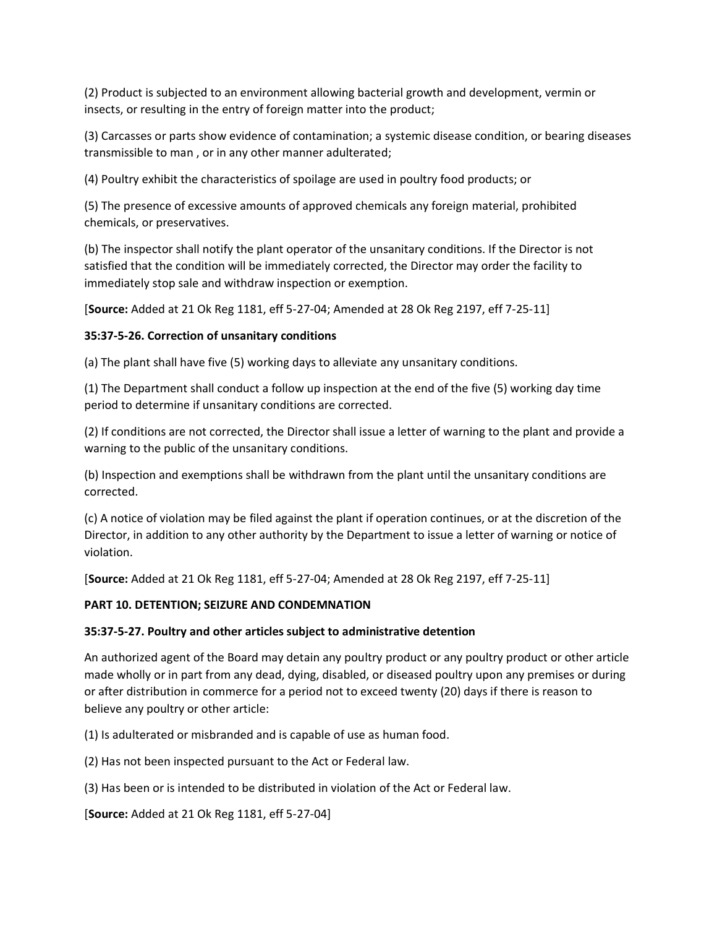(2) Product is subjected to an environment allowing bacterial growth and development, vermin or insects, or resulting in the entry of foreign matter into the product;

(3) Carcasses or parts show evidence of contamination; a systemic disease condition, or bearing diseases transmissible to man , or in any other manner adulterated;

(4) Poultry exhibit the characteristics of spoilage are used in poultry food products; or

(5) The presence of excessive amounts of approved chemicals any foreign material, prohibited chemicals, or preservatives.

(b) The inspector shall notify the plant operator of the unsanitary conditions. If the Director is not satisfied that the condition will be immediately corrected, the Director may order the facility to immediately stop sale and withdraw inspection or exemption.

[**Source:** Added at 21 Ok Reg 1181, eff 5-27-04; Amended at 28 Ok Reg 2197, eff 7-25-11]

### **35:37-5-26. Correction of unsanitary conditions**

(a) The plant shall have five (5) working days to alleviate any unsanitary conditions.

(1) The Department shall conduct a follow up inspection at the end of the five (5) working day time period to determine if unsanitary conditions are corrected.

(2) If conditions are not corrected, the Director shall issue a letter of warning to the plant and provide a warning to the public of the unsanitary conditions.

(b) Inspection and exemptions shall be withdrawn from the plant until the unsanitary conditions are corrected.

(c) A notice of violation may be filed against the plant if operation continues, or at the discretion of the Director, in addition to any other authority by the Department to issue a letter of warning or notice of violation.

[**Source:** Added at 21 Ok Reg 1181, eff 5-27-04; Amended at 28 Ok Reg 2197, eff 7-25-11]

#### **PART 10. DETENTION; SEIZURE AND CONDEMNATION**

#### **35:37-5-27. Poultry and other articles subject to administrative detention**

An authorized agent of the Board may detain any poultry product or any poultry product or other article made wholly or in part from any dead, dying, disabled, or diseased poultry upon any premises or during or after distribution in commerce for a period not to exceed twenty (20) days if there is reason to believe any poultry or other article:

(1) Is adulterated or misbranded and is capable of use as human food.

(2) Has not been inspected pursuant to the Act or Federal law.

(3) Has been or is intended to be distributed in violation of the Act or Federal law.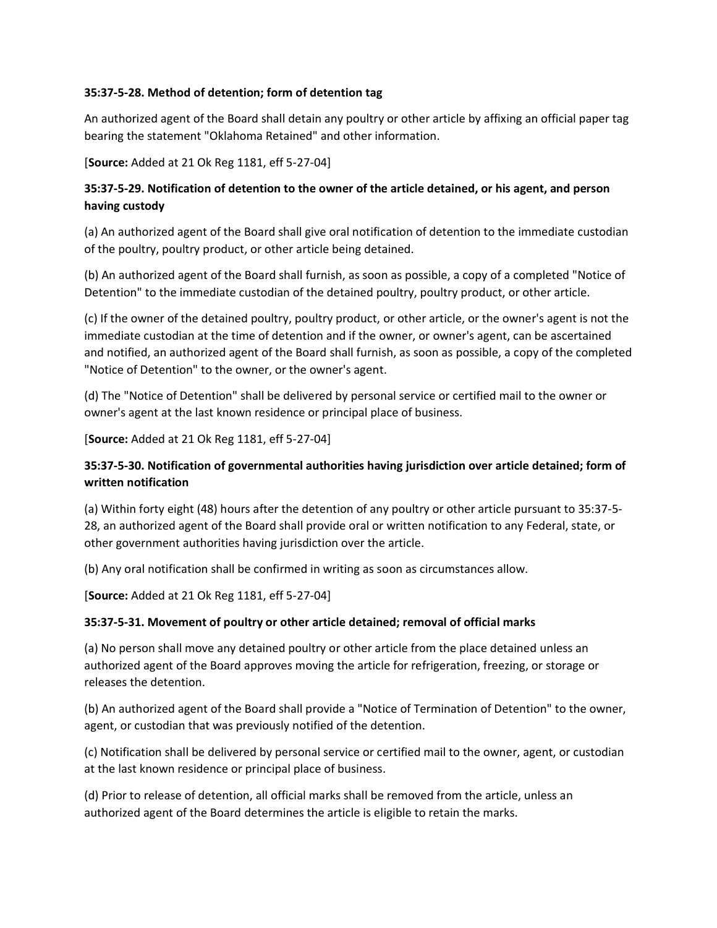### **35:37-5-28. Method of detention; form of detention tag**

An authorized agent of the Board shall detain any poultry or other article by affixing an official paper tag bearing the statement "Oklahoma Retained" and other information.

[**Source:** Added at 21 Ok Reg 1181, eff 5-27-04]

# **35:37-5-29. Notification of detention to the owner of the article detained, or his agent, and person having custody**

(a) An authorized agent of the Board shall give oral notification of detention to the immediate custodian of the poultry, poultry product, or other article being detained.

(b) An authorized agent of the Board shall furnish, as soon as possible, a copy of a completed "Notice of Detention" to the immediate custodian of the detained poultry, poultry product, or other article.

(c) If the owner of the detained poultry, poultry product, or other article, or the owner's agent is not the immediate custodian at the time of detention and if the owner, or owner's agent, can be ascertained and notified, an authorized agent of the Board shall furnish, as soon as possible, a copy of the completed "Notice of Detention" to the owner, or the owner's agent.

(d) The "Notice of Detention" shall be delivered by personal service or certified mail to the owner or owner's agent at the last known residence or principal place of business.

[**Source:** Added at 21 Ok Reg 1181, eff 5-27-04]

# **35:37-5-30. Notification of governmental authorities having jurisdiction over article detained; form of written notification**

(a) Within forty eight (48) hours after the detention of any poultry or other article pursuant to 35:37-5- 28, an authorized agent of the Board shall provide oral or written notification to any Federal, state, or other government authorities having jurisdiction over the article.

(b) Any oral notification shall be confirmed in writing as soon as circumstances allow.

[**Source:** Added at 21 Ok Reg 1181, eff 5-27-04]

# **35:37-5-31. Movement of poultry or other article detained; removal of official marks**

(a) No person shall move any detained poultry or other article from the place detained unless an authorized agent of the Board approves moving the article for refrigeration, freezing, or storage or releases the detention.

(b) An authorized agent of the Board shall provide a "Notice of Termination of Detention" to the owner, agent, or custodian that was previously notified of the detention.

(c) Notification shall be delivered by personal service or certified mail to the owner, agent, or custodian at the last known residence or principal place of business.

(d) Prior to release of detention, all official marks shall be removed from the article, unless an authorized agent of the Board determines the article is eligible to retain the marks.